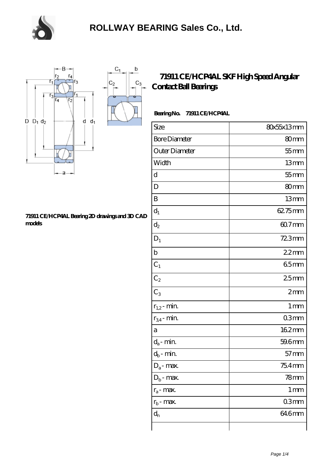

 $\mathsf b$ 

 $C_3$ 



#### **[71911 CE/HCP4AL Bearing 2D drawings and 3D CAD](https://m.chooseyourcufflinks.com/pic-938477.html) [models](https://m.chooseyourcufflinks.com/pic-938477.html)**

### **[71911 CE/HCP4AL SKF High Speed Angular](https://m.chooseyourcufflinks.com/skf-bearing/71911-ce-hcp4al.html) [Contact Ball Bearings](https://m.chooseyourcufflinks.com/skf-bearing/71911-ce-hcp4al.html)**

### **Bearing No. 71911 CE/HCP4AL**

| Size                       | 80x55x13mm        |
|----------------------------|-------------------|
| <b>Bore Diameter</b>       | 80mm              |
| Outer Diameter             | $55$ mm           |
| Width                      | 13mm              |
| d                          | $55$ mm           |
| D                          | 80mm              |
| B                          | 13mm              |
| $d_1$                      | 62.75mm           |
| $\mathrm{d}_2$             | 60.7mm            |
| $D_1$                      | 723mm             |
| $\mathbf b$                | $22$ mm           |
| $C_1$                      | 65mm              |
| $C_2$                      | 25mm              |
| $C_3$                      | 2mm               |
| $r_{1,2}$ - min.           | 1 <sub>mm</sub>   |
| $r_{34}$ - min.            | 03mm              |
| а                          | 162mm             |
| $d_a$ - min.               | 59.6mm            |
| $d_b\operatorname{-} \min$ | $57 \text{mm}$    |
| $D_a$ - max.               | 75.4mm            |
| $D_b$ - max.               | $78$ mm           |
| $r_a$ - max.               | $1 \,\mathrm{mm}$ |
| $r_{b}$ - max.             | 03mm              |
| $d_{n}$                    | 646mm             |
|                            |                   |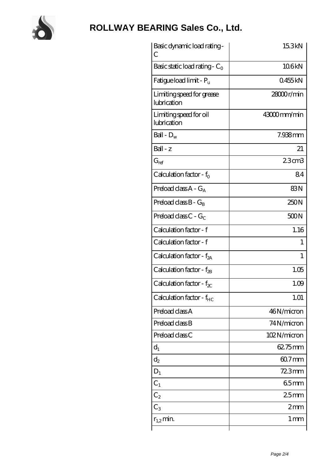

# **[ROLLWAY BEARING Sales Co., Ltd.](https://m.chooseyourcufflinks.com)**

| Basic dynamic load rating-<br>С          | 15.3kN           |
|------------------------------------------|------------------|
| Basic static load rating - $C_0$         | 106kN            |
| Fatigue load limit - $P_{\rm u}$         | 0455kN           |
| Limiting speed for grease<br>lubrication | 28000r/min       |
| Limiting speed for oil<br>lubrication    | 43000mm/min      |
| Ball - $D_w$                             | 7.938mm          |
| $Ball - z$                               | 21               |
| $G_{ref}$                                | 23cm3            |
| Calculation factor - $f_0$               | 84               |
| Preload class $A - G_A$                  | 83N              |
| Preload class $B - G_B$                  | 250N             |
| Preload class $C - G_C$                  | 500N             |
| Calculation factor - f                   | 1.16             |
| Calculation factor - f                   | 1                |
| Calculation factor - f <sub>2A</sub>     | $\mathbf{1}$     |
| Calculation factor - f <sub>2B</sub>     | 1.05             |
| Calculation factor - $f_{\chi}$          | 1.09             |
| Calculation factor - $f_{HC}$            | 1.01             |
| Preload class A                          | 46N/micron       |
| Preload class B                          | 74N/micron       |
| Preload class C                          | 102N/micron      |
| $d_1$                                    | $6275$ mm        |
| $d_2$                                    | $607$ mm         |
| $D_1$                                    | $723$ mm         |
| $C_1$                                    | 65mm             |
| $C_2$                                    | 25 <sub>mm</sub> |
| $C_3$                                    | 2mm              |
| $r_{1,2}$ min.                           | 1 <sub>mm</sub>  |
|                                          |                  |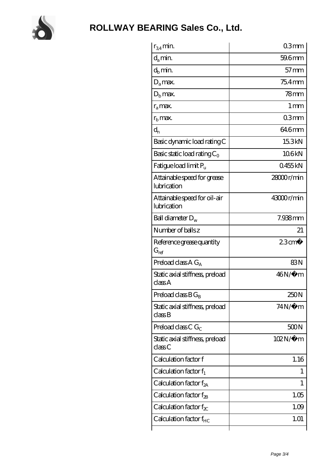

| $r_{34}$ min.                               | 03mm                 |
|---------------------------------------------|----------------------|
| $d_{a}$ min.                                | 59.6mm               |
| $d_h$ min.                                  | $57$ mm              |
| $D_a$ max.                                  | $754$ mm             |
| $Db$ max.                                   | 78 <sub>mm</sub>     |
| $r_a$ max.                                  | $1 \,\mathrm{mm}$    |
| $rb$ max.                                   | 03mm                 |
| $d_{n}$                                     | 646mm                |
| Basic dynamic load rating C                 | 15.3kN               |
| Basic static load rating $C_0$              | 106kN                |
| Fatigue load limit Pu                       | 0455kN               |
| Attainable speed for grease<br>lubrication  | $28000$ r/min        |
| Attainable speed for oil-air<br>lubrication | 43000r/min           |
| Ball diameter $D_w$                         | 7.938mm              |
| Number of balls z                           | 21                   |
| Reference grease quantity<br>$G_{ref}$      | $23$ cm <sup>3</sup> |
| Preload class $A G_A$                       | 83N                  |
| Static axial stiffness, preload<br>classA   | $46N/\mu$ m          |
| Preload class $B G_B$                       | 250N                 |
| Static axial stiffness, preload<br>classB   | $74N/\mu$ m          |
| Preload class C $G_C$                       | 500N                 |
| Static axial stiffness, preload<br>classC   | $102N/\mu$ m         |
| Calculation factor f                        | 1.16                 |
| Calculation factor $f_1$                    | $\mathbf{I}$         |
| Calculation factor $f_{2A}$                 | 1                    |
| Calculation factor $f_{\rm 2B}$             | 1.05                 |
| Calculation factor $f_{\chi}$               | 1.09                 |
| Calculation factor $f_{HC}$                 | 1.01                 |
|                                             |                      |